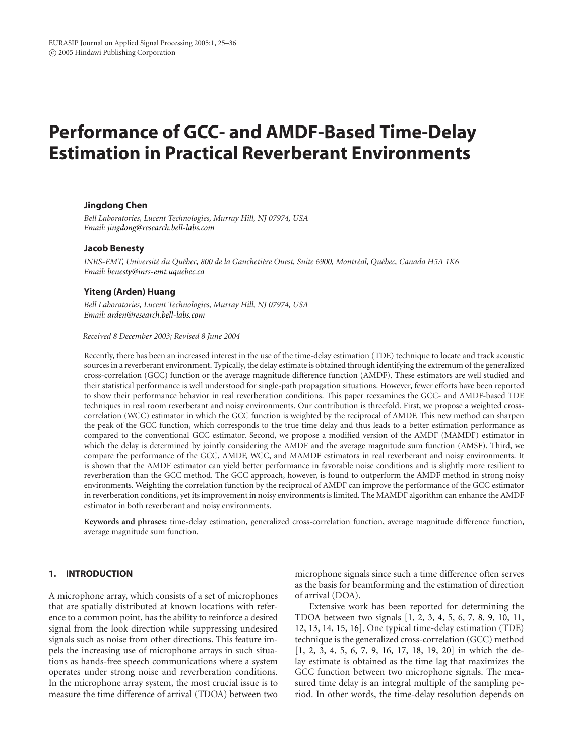# **Performance of GCC- and AMDF-Based Time-Delay Estimation in Practical Reverberant Environments**

## **Jingdong Chen**

*Bell Laboratories, Lucent Technologies, Murray Hill, NJ 07974, USA Email: [jingdong@research.bell-labs.com](mailto:jingdong@research.bell-labs.com)*

#### **Jacob Benesty**

*INRS-EMT, Universit´e du Qu´ebec, 800 de la Gaucheti`ere Ouest, Suite 6900, Montr´eal, Qu´ebec, Canada H5A 1K6 Email: [benesty@inrs-emt.uquebec.ca](mailto:benesty@inrs-emt.uquebec.ca)*

## **Yiteng (Arden) Huang**

*Bell Laboratories, Lucent Technologies, Murray Hill, NJ 07974, USA Email: [arden@research.bell-labs.com](mailto:arden@research.bell-labs.com)*

## *Received 8 December 2003; Revised 8 June 2004*

Recently, there has been an increased interest in the use of the time-delay estimation (TDE) technique to locate and track acoustic sources in a reverberant environment. Typically, the delay estimate is obtained through identifying the extremum of the generalized cross-correlation (GCC) function or the average magnitude difference function (AMDF). These estimators are well studied and their statistical performance is well understood for single-path propagation situations. However, fewer efforts have been reported to show their performance behavior in real reverberation conditions. This paper reexamines the GCC- and AMDF-based TDE techniques in real room reverberant and noisy environments. Our contribution is threefold. First, we propose a weighted crosscorrelation (WCC) estimator in which the GCC function is weighted by the reciprocal of AMDF. This new method can sharpen the peak of the GCC function, which corresponds to the true time delay and thus leads to a better estimation performance as compared to the conventional GCC estimator. Second, we propose a modified version of the AMDF (MAMDF) estimator in which the delay is determined by jointly considering the AMDF and the average magnitude sum function (AMSF). Third, we compare the performance of the GCC, AMDF, WCC, and MAMDF estimators in real reverberant and noisy environments. It is shown that the AMDF estimator can yield better performance in favorable noise conditions and is slightly more resilient to reverberation than the GCC method. The GCC approach, however, is found to outperform the AMDF method in strong noisy environments. Weighting the correlation function by the reciprocal of AMDF can improve the performance of the GCC estimator in reverberation conditions, yet its improvement in noisy environments is limited. The MAMDF algorithm can enhance the AMDF estimator in both reverberant and noisy environments.

**Keywords and phrases:** time-delay estimation, generalized cross-correlation function, average magnitude difference function, average magnitude sum function.

# **1. INTRODUCTION**

A microphone array, which consists of a set of microphones that are spatially distributed at known locations with reference to a common point, has the ability to reinforce a desired signal from the look direction while suppressing undesired signals such as noise from other directions. This feature impels the increasing use of microphone arrays in such situations as hands-free speech communications where a system operates under strong noise and reverberation conditions. In the microphone array system, the most crucial issue is to measure the time difference of arrival (TDOA) between two

microphone signals since such a time difference often serves as the basis for beamforming and the estimation of direction of arrival (DOA).

Extensive work has been reported for determining the TDOA between two signals [\[1](#page-10-0), [2,](#page-10-1) [3](#page-10-2), [4,](#page-10-3) [5](#page-10-4), [6,](#page-10-5) [7](#page-10-6), [8,](#page-10-7) [9](#page-10-8), [10](#page-10-9), [11,](#page-10-10) [12,](#page-10-11) [13,](#page-10-12) [14](#page-10-13), [15,](#page-10-14) [16](#page-10-15)]. One typical time-delay estimation (TDE) technique is the generalized cross-correlation (GCC) method [\[1](#page-10-0), [2](#page-10-1), [3](#page-10-2), [4](#page-10-3), [5](#page-10-4), [6](#page-10-5), [7](#page-10-6), [9,](#page-10-8) [16,](#page-10-15) [17](#page-10-16), [18](#page-10-17), [19,](#page-10-18) [20\]](#page-10-19) in which the delay estimate is obtained as the time lag that maximizes the GCC function between two microphone signals. The measured time delay is an integral multiple of the sampling period. In other words, the time-delay resolution depends on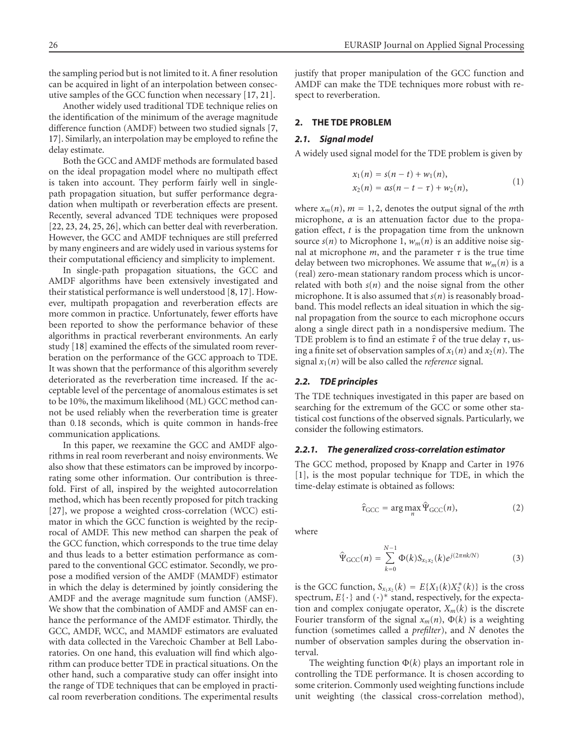the sampling period but is not limited to it. A finer resolution can be acquired in light of an interpolation between consecutive samples of the GCC function when necessary [\[17](#page-10-16), [21](#page-10-20)].

Another widely used traditional TDE technique relies on the identification of the minimum of the average magnitude difference function (AMDF) between two studied signals [\[7,](#page-10-6) [17\]](#page-10-16). Similarly, an interpolation may be employed to refine the delay estimate.

Both the GCC and AMDF methods are formulated based on the ideal propagation model where no multipath effect is taken into account. They perform fairly well in singlepath propagation situation, but suffer performance degradation when multipath or reverberation effects are present. Recently, several advanced TDE techniques were proposed [\[22](#page-10-21), [23](#page-10-22), [24](#page-10-23), [25](#page-10-24), [26](#page-10-25)], which can better deal with reverberation. However, the GCC and AMDF techniques are still preferred by many engineers and are widely used in various systems for their computational efficiency and simplicity to implement.

In single-path propagation situations, the GCC and AMDF algorithms have been extensively investigated and their statistical performance is well understood [\[8](#page-10-7), [17](#page-10-16)]. However, multipath propagation and reverberation effects are more common in practice. Unfortunately, fewer efforts have been reported to show the performance behavior of these algorithms in practical reverberant environments. An early study [\[18](#page-10-17)] examined the effects of the simulated room reverberation on the performance of the GCC approach to TDE. It was shown that the performance of this algorithm severely deteriorated as the reverberation time increased. If the acceptable level of the percentage of anomalous estimates is set to be 10%, the maximum likelihood (ML) GCC method cannot be used reliably when the reverberation time is greater than 0*.*18 seconds, which is quite common in hands-free communication applications.

In this paper, we reexamine the GCC and AMDF algorithms in real room reverberant and noisy environments. We also show that these estimators can be improved by incorporating some other information. Our contribution is threefold. First of all, inspired by the weighted autocorrelation method, which has been recently proposed for pitch tracking [\[27](#page-10-26)], we propose a weighted cross-correlation (WCC) estimator in which the GCC function is weighted by the reciprocal of AMDF. This new method can sharpen the peak of the GCC function, which corresponds to the true time delay and thus leads to a better estimation performance as compared to the conventional GCC estimator. Secondly, we propose a modified version of the AMDF (MAMDF) estimator in which the delay is determined by jointly considering the AMDF and the average magnitude sum function (AMSF). We show that the combination of AMDF and AMSF can enhance the performance of the AMDF estimator. Thirdly, the GCC, AMDF, WCC, and MAMDF estimators are evaluated with data collected in the Varechoic Chamber at Bell Laboratories. On one hand, this evaluation will find which algorithm can produce better TDE in practical situations. On the other hand, such a comparative study can offer insight into the range of TDE techniques that can be employed in practical room reverberation conditions. The experimental results justify that proper manipulation of the GCC function and AMDF can make the TDE techniques more robust with respect to reverberation.

#### <span id="page-1-2"></span>**2. THE TDE PROBLEM**

#### *2.1. Signal model*

A widely used signal model for the TDE problem is given by

$$
x_1(n) = s(n-t) + w_1(n),
$$
  
\n
$$
x_2(n) = \alpha s(n-t-\tau) + w_2(n),
$$
\n(1)

where  $x_m(n)$ ,  $m = 1, 2$ , denotes the output signal of the *m*th microphone,  $\alpha$  is an attenuation factor due to the propagation effect, *t* is the propagation time from the unknown source  $s(n)$  to Microphone 1,  $w_m(n)$  is an additive noise signal at microphone  $m$ , and the parameter  $\tau$  is the true time delay between two microphones. We assume that  $w_m(n)$  is a (real) zero-mean stationary random process which is uncorrelated with both  $s(n)$  and the noise signal from the other microphone. It is also assumed that  $s(n)$  is reasonably broadband. This model reflects an ideal situation in which the signal propagation from the source to each microphone occurs along a single direct path in a nondispersive medium. The TDE problem is to find an estimate *<sup>τ</sup>* of the true delay *<sup>τ</sup>*, using a finite set of observation samples of  $x_1(n)$  and  $x_2(n)$ . The signal  $x_1(n)$  will be also called the *reference* signal.

#### *2.2. TDE principles*

The TDE techniques investigated in this paper are based on searching for the extremum of the GCC or some other statistical cost functions of the observed signals. Particularly, we consider the following estimators.

#### *2.2.1. The generalized cross-correlation estimator*

The GCC method, proposed by Knapp and Carter in 1976 [\[1](#page-10-0)], is the most popular technique for TDE, in which the time-delay estimate is obtained as follows:

<span id="page-1-1"></span><span id="page-1-0"></span>
$$
\hat{\tau}_{\text{GCC}} = \arg \max_{n} \hat{\Psi}_{\text{GCC}}(n),\tag{2}
$$

where

$$
\hat{\Psi}_{GCC}(n) = \sum_{k=0}^{N-1} \Phi(k) S_{x_1 x_2}(k) e^{j(2\pi n k/N)} \tag{3}
$$

is the GCC function,  $S_{x_1x_2}(k) = E\{X_1(k)X_2^*(k)\}\)$  is the cross spectrum,  $E\{\cdot\}$  and  $(\cdot)^*$  stand, respectively, for the expectation and complex conjugate operator,  $X_m(k)$  is the discrete Fourier transform of the signal  $x_m(n)$ ,  $\Phi(k)$  is a weighting function (sometimes called a *prefilter*), and *N* denotes the number of observation samples during the observation interval.

The weighting function Φ(*k*) plays an important role in controlling the TDE performance. It is chosen according to some criterion. Commonly used weighting functions include unit weighting (the classical cross-correlation method),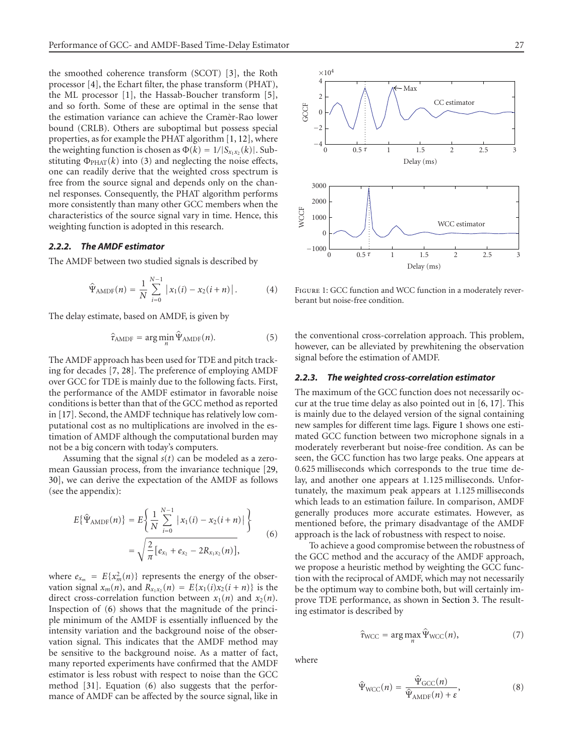the smoothed coherence transform (SCOT) [\[3\]](#page-10-2), the Roth processor [\[4\]](#page-10-3), the Echart filter, the phase transform (PHAT), the ML processor [\[1](#page-10-0)], the Hassab-Boucher transform [\[5\]](#page-10-4), and so forth. Some of these are optimal in the sense that the estimation variance can achieve the Cramèr-Rao lower bound (CRLB). Others are suboptimal but possess special properties, as for example the PHAT algorithm [\[1](#page-10-0), [12](#page-10-11)], where the weighting function is chosen as  $\Phi(k) = 1/|S_{x_1x_2}(k)|$ . Substituting  $\Phi_{\text{PHAT}}(k)$  into [\(3\)](#page-1-0) and neglecting the noise effects, one can readily derive that the weighted cross spectrum is free from the source signal and depends only on the channel responses. Consequently, the PHAT algorithm performs more consistently than many other GCC members when the characteristics of the source signal vary in time. Hence, this weighting function is adopted in this research.

## *2.2.2. The AMDF estimator*

The AMDF between two studied signals is described by

<span id="page-2-5"></span>
$$
\hat{\Psi}_{\text{AMDF}}(n) = \frac{1}{N} \sum_{i=0}^{N-1} |x_1(i) - x_2(i+n)|.
$$
 (4)

The delay estimate, based on AMDF, is given by

<span id="page-2-3"></span>
$$
\hat{\tau}_{\text{AMDF}} = \arg\min_{n} \hat{\Psi}_{\text{AMDF}}(n). \tag{5}
$$

The AMDF approach has been used for TDE and pitch tracking for decades [\[7](#page-10-6), [28\]](#page-10-27). The preference of employing AMDF over GCC for TDE is mainly due to the following facts. First, the performance of the AMDF estimator in favorable noise conditions is better than that of the GCC method as reported in [\[17](#page-10-16)]. Second, the AMDF technique has relatively low computational cost as no multiplications are involved in the estimation of AMDF although the computational burden may not be a big concern with today's computers.

Assuming that the signal *s*(*t*) can be modeled as a zeromean Gaussian process, from the invariance technique [\[29,](#page-11-0) [30\]](#page-11-1), we can derive the expectation of the AMDF as follows (see the appendix):

$$
E\{\hat{\Psi}_{\text{AMDF}}(n)\} = E\left\{\frac{1}{N}\sum_{i=0}^{N-1} |x_1(i) - x_2(i+n)|\right\}
$$
  
=  $\sqrt{\frac{2}{\pi} [e_{x_1} + e_{x_2} - 2R_{x_1x_2}(n)],$  (6)

where  $e_{x_m} = E\{x_m^2(n)\}\)$  represents the energy of the observation signal  $x_m(n)$ , and  $R_{x_1x_2}(n) = E\{x_1(i)x_2(i+n)\}\)$  is the direct cross-correlation function between  $x_1(n)$  and  $x_2(n)$ . Inspection of [\(6\)](#page-2-0) shows that the magnitude of the principle minimum of the AMDF is essentially influenced by the intensity variation and the background noise of the observation signal. This indicates that the AMDF method may be sensitive to the background noise. As a matter of fact, many reported experiments have confirmed that the AMDF estimator is less robust with respect to noise than the GCC method [\[31\]](#page-11-2). Equation [\(6\)](#page-2-0) also suggests that the performance of AMDF can be affected by the source signal, like in



<span id="page-2-1"></span>FIGURE 1: GCC function and WCC function in a moderately reverberant but noise-free condition.

the conventional cross-correlation approach. This problem, however, can be alleviated by prewhitening the observation signal before the estimation of AMDF.

# *2.2.3. The weighted cross-correlation estimator*

The maximum of the GCC function does not necessarily occur at the true time delay as also pointed out in [\[6,](#page-10-5) [17](#page-10-16)]. This is mainly due to the delayed version of the signal containing new samples for different time lags. [Figure 1](#page-2-1) shows one estimated GCC function between two microphone signals in a moderately reverberant but noise-free condition. As can be seen, the GCC function has two large peaks. One appears at 0*.*625 milliseconds which corresponds to the true time delay, and another one appears at 1*.*125 milliseconds. Unfortunately, the maximum peak appears at 1*.*125 milliseconds which leads to an estimation failure. In comparison, AMDF generally produces more accurate estimates. However, as mentioned before, the primary disadvantage of the AMDF approach is the lack of robustness with respect to noise.

<span id="page-2-0"></span>To achieve a good compromise between the robustness of the GCC method and the accuracy of the AMDF approach, we propose a heuristic method by weighting the GCC function with the reciprocal of AMDF, which may not necessarily be the optimum way to combine both, but will certainly improve TDE performance, as shown in [Section 3.](#page-3-0) The resulting estimator is described by

<span id="page-2-4"></span>
$$
\hat{\tau}_{\text{WCC}} = \arg \max_{n} \hat{\Psi}_{\text{WCC}}(n), \tag{7}
$$

<span id="page-2-2"></span>where

$$
\hat{\Psi}_{\text{WCC}}(n) = \frac{\hat{\Psi}_{\text{GCC}}(n)}{\hat{\Psi}_{\text{AMDF}}(n) + \varepsilon},\tag{8}
$$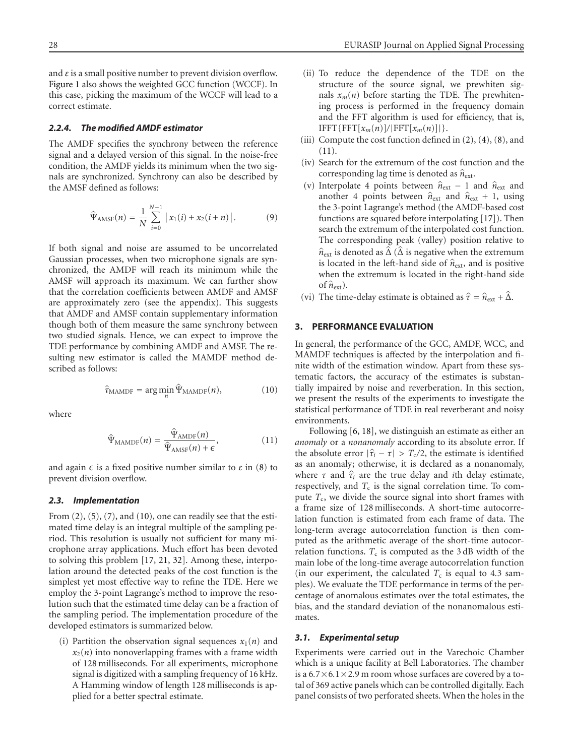and *ε* is a small positive number to prevent division overflow. [Figure 1](#page-2-1) also shows the weighted GCC function (WCCF). In this case, picking the maximum of the WCCF will lead to a correct estimate.

## *2.2.4. The modified AMDF estimator*

The AMDF specifies the synchrony between the reference signal and a delayed version of this signal. In the noise-free condition, the AMDF yields its minimum when the two signals are synchronized. Synchrony can also be described by the AMSF defined as follows:

$$
\hat{\Psi}_{AMSF}(n) = \frac{1}{N} \sum_{i=0}^{N-1} |x_1(i) + x_2(i+n)|.
$$
 (9)

If both signal and noise are assumed to be uncorrelated Gaussian processes, when two microphone signals are synchronized, the AMDF will reach its minimum while the AMSF will approach its maximum. We can further show that the correlation coefficients between AMDF and AMSF are approximately zero (see the appendix). This suggests that AMDF and AMSF contain supplementary information though both of them measure the same synchrony between two studied signals. Hence, we can expect to improve the TDE performance by combining AMDF and AMSF. The resulting new estimator is called the MAMDF method described as follows:

$$
\hat{\tau}_{\text{MAMDF}} = \arg\min_{n} \hat{\Psi}_{\text{MAMDF}}(n),\tag{10}
$$

<span id="page-3-2"></span><span id="page-3-1"></span>where

$$
\hat{\Psi}_{\text{MAMDF}}(n) = \frac{\hat{\Psi}_{\text{AMDF}}(n)}{\hat{\Psi}_{\text{AMSF}}(n) + \epsilon},\tag{11}
$$

and again  $\epsilon$  is a fixed positive number similar to  $\varepsilon$  in [\(8\)](#page-2-2) to prevent division overflow.

#### *2.3. Implementation*

From  $(2)$ ,  $(5)$ ,  $(7)$ , and  $(10)$ , one can readily see that the estimated time delay is an integral multiple of the sampling period. This resolution is usually not sufficient for many microphone array applications. Much effort has been devoted to solving this problem [\[17,](#page-10-16) [21,](#page-10-20) [32\]](#page-11-3). Among these, interpolation around the detected peaks of the cost function is the simplest yet most effective way to refine the TDE. Here we employ the 3-point Lagrange's method to improve the resolution such that the estimated time delay can be a fraction of the sampling period. The implementation procedure of the developed estimators is summarized below.

(i) Partition the observation signal sequences  $x_1(n)$  and  $x_2(n)$  into nonoverlapping frames with a frame width of 128 milliseconds. For all experiments, microphone signal is digitized with a sampling frequency of 16 kHz. A Hamming window of length 128 milliseconds is applied for a better spectral estimate.

- (ii) To reduce the dependence of the TDE on the structure of the source signal, we prewhiten signals  $x_m(n)$  before starting the TDE. The prewhitening process is performed in the frequency domain and the FFT algorithm is used for efficiency, that is,  $IFFT{FFT}[x_m(n)]/|FFT[x_m(n)]|$ .
- (iii) Compute the cost function defined in  $(2)$ ,  $(4)$ ,  $(8)$ , and [\(11\)](#page-3-2).
- (iv) Search for the extremum of the cost function and the corresponding lag time is denoted as  $\hat{n}_{ext}$ .
- (v) Interpolate 4 points between  $\hat{n}_{ext}$  − 1 and  $\hat{n}_{ext}$  and another 4 points between  $\hat{n}_{ext}$  and  $\hat{n}_{ext}$  + 1, using the 3-point Lagrange's method (the AMDF-based cost functions are squared before interpolating [\[17](#page-10-16)]). Then search the extremum of the interpolated cost function. The corresponding peak (valley) position relative to  $\hat{n}_{ext}$  is denoted as  $\hat{\Delta}$  ( $\hat{\Delta}$  is negative when the extremum is located in the left-hand side of  $\hat{n}_{ext}$ , and is positive when the extremum is located in the right-hand side of  $\hat{n}_{\text{ext}}$ ).
- (vi) The time-delay estimate is obtained as  $\hat{\tau} = \hat{n}_{ext} + \hat{\Delta}$ .

## <span id="page-3-0"></span>**3. PERFORMANCE EVALUATION**

In general, the performance of the GCC, AMDF, WCC, and MAMDF techniques is affected by the interpolation and finite width of the estimation window. Apart from these systematic factors, the accuracy of the estimates is substantially impaired by noise and reverberation. In this section, we present the results of the experiments to investigate the statistical performance of TDE in real reverberant and noisy environments.

Following [\[6](#page-10-5), [18\]](#page-10-17), we distinguish an estimate as either an *anomaly* or a *nonanomaly* according to its absolute error. If the absolute error  $|\hat{\tau}_i - \tau| > T_c/2$ , the estimate is identified as an anomaly; otherwise, it is declared as a nonanomaly, where  $\tau$  and  $\hat{\tau}_i$  are the true delay and *i*th delay estimate, respectively, and  $T_c$  is the signal correlation time. To compute *T<sub>c</sub>*, we divide the source signal into short frames with a frame size of 128 milliseconds. A short-time autocorrelation function is estimated from each frame of data. The long-term average autocorrelation function is then computed as the arithmetic average of the short-time autocorrelation functions.  $T_c$  is computed as the 3 dB width of the main lobe of the long-time average autocorrelation function (in our experiment, the calculated  $T_c$  is equal to 4.3 samples). We evaluate the TDE performance in terms of the percentage of anomalous estimates over the total estimates, the bias, and the standard deviation of the nonanomalous estimates.

#### *3.1. Experimental setup*

Experiments were carried out in the Varechoic Chamber which is a unique facility at Bell Laboratories. The chamber is a  $6.7 \times 6.1 \times 2.9$  m room whose surfaces are covered by a total of 369 active panels which can be controlled digitally. Each panel consists of two perforated sheets. When the holes in the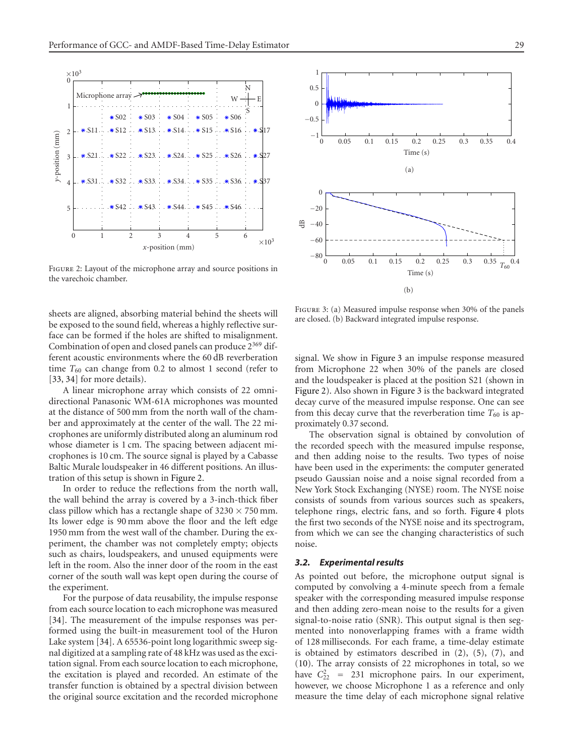

<span id="page-4-0"></span>Figure 2: Layout of the microphone array and source positions in the varechoic chamber.

sheets are aligned, absorbing material behind the sheets will be exposed to the sound field, whereas a highly reflective surface can be formed if the holes are shifted to misalignment. Combination of open and closed panels can produce 2<sup>369</sup> different acoustic environments where the 60 dB reverberation time  $T_{60}$  can change from 0.2 to almost 1 second (refer to [\[33](#page-11-4), [34](#page-11-5)] for more details).

A linear microphone array which consists of 22 omnidirectional Panasonic WM-61A microphones was mounted at the distance of 500 mm from the north wall of the chamber and approximately at the center of the wall. The 22 microphones are uniformly distributed along an aluminum rod whose diameter is 1 cm. The spacing between adjacent microphones is 10 cm. The source signal is played by a Cabasse Baltic Murale loudspeaker in 46 different positions. An illustration of this setup is shown in [Figure 2.](#page-4-0)

In order to reduce the reflections from the north wall, the wall behind the array is covered by a 3-inch-thick fiber class pillow which has a rectangle shape of  $3230 \times 750$  mm. Its lower edge is 90 mm above the floor and the left edge 1950 mm from the west wall of the chamber. During the experiment, the chamber was not completely empty; objects such as chairs, loudspeakers, and unused equipments were left in the room. Also the inner door of the room in the east corner of the south wall was kept open during the course of the experiment.

For the purpose of data reusability, the impulse response from each source location to each microphone was measured [\[34](#page-11-5)]. The measurement of the impulse responses was performed using the built-in measurement tool of the Huron Lake system [\[34\]](#page-11-5). A 65536-point long logarithmic sweep signal digitized at a sampling rate of 48 kHz was used as the excitation signal. From each source location to each microphone, the excitation is played and recorded. An estimate of the transfer function is obtained by a spectral division between the original source excitation and the recorded microphone



<span id="page-4-1"></span>FIGURE 3: (a) Measured impulse response when 30% of the panels are closed. (b) Backward integrated impulse response.

signal. We show in [Figure 3](#page-4-1) an impulse response measured from Microphone 22 when 30% of the panels are closed and the loudspeaker is placed at the position S21 (shown in [Figure 2\)](#page-4-0). Also shown in [Figure 3](#page-4-1) is the backward integrated decay curve of the measured impulse response. One can see from this decay curve that the reverberation time  $T_{60}$  is approximately 0*.*37 second.

The observation signal is obtained by convolution of the recorded speech with the measured impulse response, and then adding noise to the results. Two types of noise have been used in the experiments: the computer generated pseudo Gaussian noise and a noise signal recorded from a New York Stock Exchanging (NYSE) room. The NYSE noise consists of sounds from various sources such as speakers, telephone rings, electric fans, and so forth. [Figure 4](#page-5-0) plots the first two seconds of the NYSE noise and its spectrogram, from which we can see the changing characteristics of such noise.

## *3.2. Experimental results*

As pointed out before, the microphone output signal is computed by convolving a 4-minute speech from a female speaker with the corresponding measured impulse response and then adding zero-mean noise to the results for a given signal-to-noise ratio (SNR). This output signal is then segmented into nonoverlapping frames with a frame width of 128 milliseconds. For each frame, a time-delay estimate is obtained by estimators described in [\(2\)](#page-1-1), [\(5\)](#page-2-3), [\(7\)](#page-2-4), and [\(10\)](#page-3-1). The array consists of 22 microphones in total, so we have  $C_{22}^2$  = 231 microphone pairs. In our experiment, however, we choose Microphone 1 as a reference and only measure the time delay of each microphone signal relative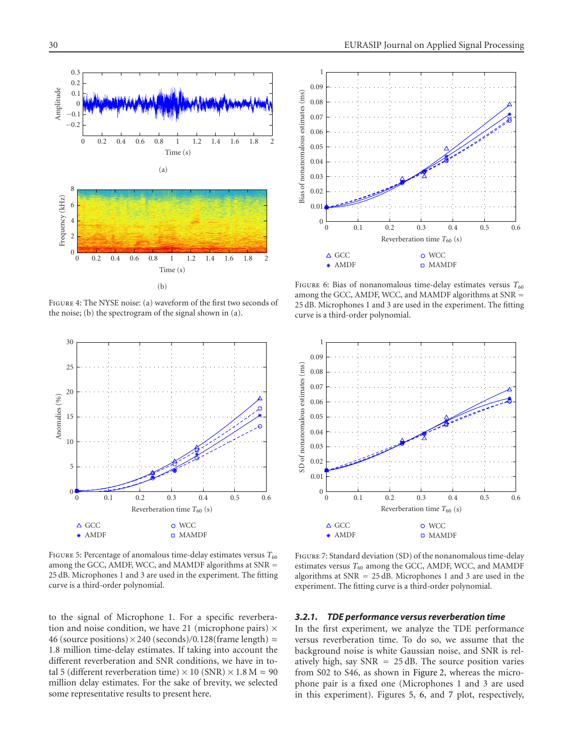

<span id="page-5-0"></span>Figure 4: The NYSE noise: (a) waveform of the first two seconds of the noise; (b) the spectrogram of the signal shown in (a).



<span id="page-5-1"></span>FIGURE 5: Percentage of anomalous time-delay estimates versus  $T_{60}$ among the GCC, AMDF, WCC, and MAMDF algorithms at SNR = 25 dB. Microphones 1 and 3 are used in the experiment. The fitting curve is a third-order polynomial.

to the signal of Microphone 1. For a specific reverberation and noise condition, we have 21 (microphone pairs)  $\times$ 46 (source positions)×240 (seconds)*/*0*.*128(frame length) ≈ 1*.*8 million time-delay estimates. If taking into account the different reverberation and SNR conditions, we have in total 5 (different reverberation time) × 10 (SNR) × 1.8 M  $\approx$  90 million delay estimates. For the sake of brevity, we selected some representative results to present here.



<span id="page-5-2"></span>FIGURE 6: Bias of nonanomalous time-delay estimates versus  $T_{60}$ among the GCC, AMDF, WCC, and MAMDF algorithms at SNR = 25 dB. Microphones 1 and 3 are used in the experiment. The fitting curve is a third-order polynomial.



<span id="page-5-3"></span>Figure 7: Standard deviation (SD) of the nonanomalous time-delay estimates versus  $T_{60}$  among the GCC, AMDF, WCC, and MAMDF algorithms at SNR = 25 dB. Microphones 1 and 3 are used in the experiment. The fitting curve is a third-order polynomial.

#### *3.2.1. TDE performance versus reverberation time*

In the first experiment, we analyze the TDE performance versus reverberation time. To do so, we assume that the background noise is white Gaussian noise, and SNR is relatively high, say  $SNR = 25$  dB. The source position varies from S02 to S46, as shown in [Figure 2,](#page-4-0) whereas the microphone pair is a fixed one (Microphones 1 and 3 are used in this experiment). Figures [5,](#page-5-1) [6,](#page-5-2) and [7](#page-5-3) plot, respectively,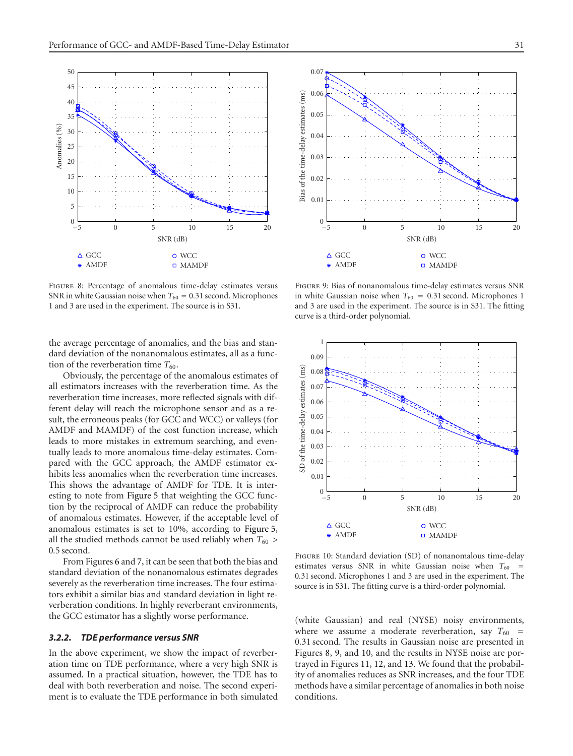

<span id="page-6-0"></span>Figure 8: Percentage of anomalous time-delay estimates versus SNR in white Gaussian noise when  $T_{60} = 0.31$  second. Microphones 1 and 3 are used in the experiment. The source is in S31.

the average percentage of anomalies, and the bias and standard deviation of the nonanomalous estimates, all as a function of the reverberation time  $T_{60}$ .

Obviously, the percentage of the anomalous estimates of all estimators increases with the reverberation time. As the reverberation time increases, more reflected signals with different delay will reach the microphone sensor and as a result, the erroneous peaks (for GCC and WCC) or valleys (for AMDF and MAMDF) of the cost function increase, which leads to more mistakes in extremum searching, and eventually leads to more anomalous time-delay estimates. Compared with the GCC approach, the AMDF estimator exhibits less anomalies when the reverberation time increases. This shows the advantage of AMDF for TDE. It is interesting to note from [Figure 5](#page-5-1) that weighting the GCC function by the reciprocal of AMDF can reduce the probability of anomalous estimates. However, if the acceptable level of anomalous estimates is set to 10%, according to [Figure 5,](#page-5-1) all the studied methods cannot be used reliably when  $T_{60}$   $>$ 0*.*5 second.

From Figures [6](#page-5-2) and [7,](#page-5-3) it can be seen that both the bias and standard deviation of the nonanomalous estimates degrades severely as the reverberation time increases. The four estimators exhibit a similar bias and standard deviation in light reverberation conditions. In highly reverberant environments, the GCC estimator has a slightly worse performance.

# *3.2.2. TDE performance versus SNR*

In the above experiment, we show the impact of reverberation time on TDE performance, where a very high SNR is assumed. In a practical situation, however, the TDE has to deal with both reverberation and noise. The second experiment is to evaluate the TDE performance in both simulated



<span id="page-6-1"></span>Figure 9: Bias of nonanomalous time-delay estimates versus SNR in white Gaussian noise when  $T_{60} = 0.31$  second. Microphones 1 and 3 are used in the experiment. The source is in S31. The fitting curve is a third-order polynomial.



<span id="page-6-2"></span>Figure 10: Standard deviation (SD) of nonanomalous time-delay estimates versus SNR in white Gaussian noise when  $T_{60}$  = 0*.*31 second. Microphones 1 and 3 are used in the experiment. The source is in S31. The fitting curve is a third-order polynomial.

(white Gaussian) and real (NYSE) noisy environments, where we assume a moderate reverberation, say  $T_{60}$  = 0*.*31 second. The results in Gaussian noise are presented in Figures [8,](#page-6-0) [9,](#page-6-1) and [10,](#page-6-2) and the results in NYSE noise are portrayed in Figures [11,](#page-7-0) [12,](#page-7-1) and [13.](#page-7-2) We found that the probability of anomalies reduces as SNR increases, and the four TDE methods have a similar percentage of anomalies in both noise conditions.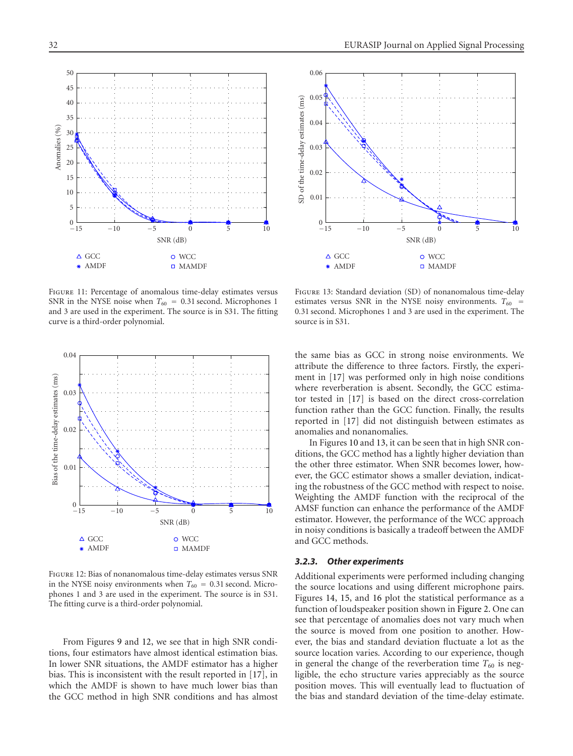



<span id="page-7-0"></span>Figure 11: Percentage of anomalous time-delay estimates versus SNR in the NYSE noise when  $T_{60} = 0.31$  second. Microphones 1 and 3 are used in the experiment. The source is in S31. The fitting curve is a third-order polynomial.



<span id="page-7-1"></span>Figure 12: Bias of nonanomalous time-delay estimates versus SNR in the NYSE noisy environments when  $T_{60} = 0.31$  second. Microphones 1 and 3 are used in the experiment. The source is in S31. The fitting curve is a third-order polynomial.

From Figures [9](#page-6-1) and [12,](#page-7-1) we see that in high SNR conditions, four estimators have almost identical estimation bias. In lower SNR situations, the AMDF estimator has a higher bias. This is inconsistent with the result reported in [\[17](#page-10-16)], in which the AMDF is shown to have much lower bias than the GCC method in high SNR conditions and has almost

<span id="page-7-2"></span>Figure 13: Standard deviation (SD) of nonanomalous time-delay estimates versus SNR in the NYSE noisy environments.  $T_{60}$  = 0*.*31 second. Microphones 1 and 3 are used in the experiment. The source is in S31.

the same bias as GCC in strong noise environments. We attribute the difference to three factors. Firstly, the experiment in [\[17\]](#page-10-16) was performed only in high noise conditions where reverberation is absent. Secondly, the GCC estimator tested in [\[17\]](#page-10-16) is based on the direct cross-correlation function rather than the GCC function. Finally, the results reported in [\[17\]](#page-10-16) did not distinguish between estimates as anomalies and nonanomalies.

In Figures [10](#page-6-2) and [13,](#page-7-2) it can be seen that in high SNR conditions, the GCC method has a lightly higher deviation than the other three estimator. When SNR becomes lower, however, the GCC estimator shows a smaller deviation, indicating the robustness of the GCC method with respect to noise. Weighting the AMDF function with the reciprocal of the AMSF function can enhance the performance of the AMDF estimator. However, the performance of the WCC approach in noisy conditions is basically a tradeoff between the AMDF and GCC methods.

## *3.2.3. Other experiments*

Additional experiments were performed including changing the source locations and using different microphone pairs. Figures [14,](#page-8-0) [15,](#page-8-1) and [16](#page-8-2) plot the statistical performance as a function of loudspeaker position shown in [Figure 2.](#page-4-0) One can see that percentage of anomalies does not vary much when the source is moved from one position to another. However, the bias and standard deviation fluctuate a lot as the source location varies. According to our experience, though in general the change of the reverberation time  $T_{60}$  is negligible, the echo structure varies appreciably as the source position moves. This will eventually lead to fluctuation of the bias and standard deviation of the time-delay estimate.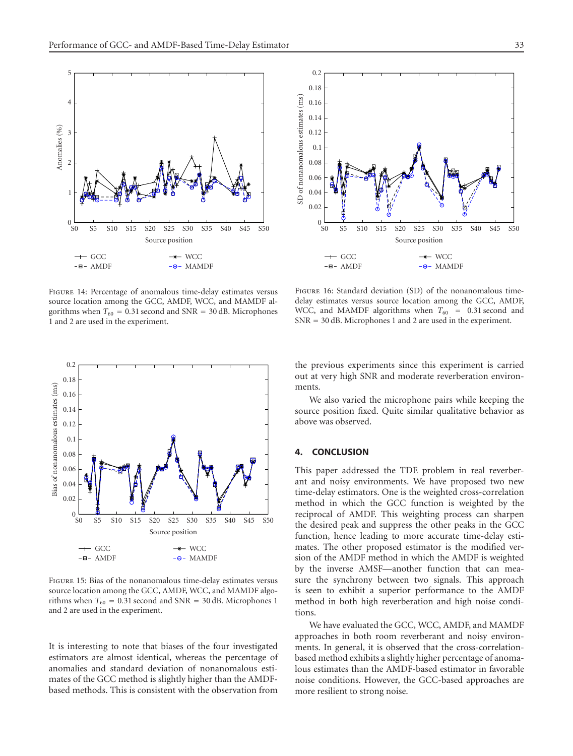

<span id="page-8-0"></span>Figure 14: Percentage of anomalous time-delay estimates versus source location among the GCC, AMDF, WCC, and MAMDF algorithms when  $T_{60} = 0.31$  second and SNR = 30 dB. Microphones 1 and 2 are used in the experiment.



<span id="page-8-1"></span>Figure 15: Bias of the nonanomalous time-delay estimates versus source location among the GCC, AMDF, WCC, and MAMDF algorithms when  $T_{60} = 0.31$  second and SNR = 30 dB. Microphones 1 and 2 are used in the experiment.

It is interesting to note that biases of the four investigated estimators are almost identical, whereas the percentage of anomalies and standard deviation of nonanomalous estimates of the GCC method is slightly higher than the AMDFbased methods. This is consistent with the observation from



<span id="page-8-2"></span>Figure 16: Standard deviation (SD) of the nonanomalous timedelay estimates versus source location among the GCC, AMDF, WCC, and MAMDF algorithms when  $T_{60}$  = 0.31 second and SNR = 30 dB. Microphones 1 and 2 are used in the experiment.

the previous experiments since this experiment is carried out at very high SNR and moderate reverberation environments.

We also varied the microphone pairs while keeping the source position fixed. Quite similar qualitative behavior as above was observed.

# **4. CONCLUSION**

This paper addressed the TDE problem in real reverberant and noisy environments. We have proposed two new time-delay estimators. One is the weighted cross-correlation method in which the GCC function is weighted by the reciprocal of AMDF. This weighting process can sharpen the desired peak and suppress the other peaks in the GCC function, hence leading to more accurate time-delay estimates. The other proposed estimator is the modified version of the AMDF method in which the AMDF is weighted by the inverse AMSF—another function that can measure the synchrony between two signals. This approach is seen to exhibit a superior performance to the AMDF method in both high reverberation and high noise conditions.

We have evaluated the GCC, WCC, AMDF, and MAMDF approaches in both room reverberant and noisy environments. In general, it is observed that the cross-correlationbased method exhibits a slightly higher percentage of anomalous estimates than the AMDF-based estimator in favorable noise conditions. However, the GCC-based approaches are more resilient to strong noise.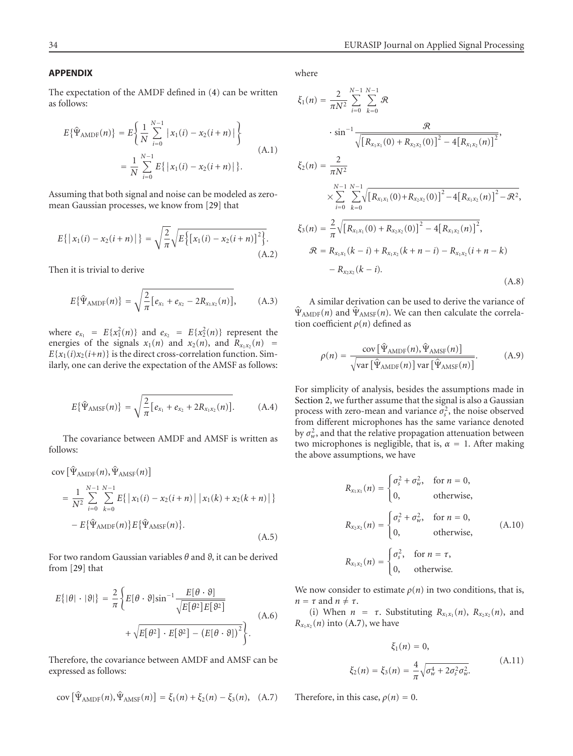# **APPENDIX**

The expectation of the AMDF defined in [\(4\)](#page-2-5) can be written as follows:

$$
E\{\hat{\Psi}_{\text{AMDF}}(n)\} = E\left\{\frac{1}{N} \sum_{i=0}^{N-1} |x_1(i) - x_2(i+n)|\right\}
$$
  
= 
$$
\frac{1}{N} \sum_{i=0}^{N-1} E\{|x_1(i) - x_2(i+n)|\}.
$$
 (A.1)

Assuming that both signal and noise can be modeled as zeromean Gaussian processes, we know from [\[29](#page-11-0)] that

$$
E\{|x_1(i) - x_2(i+n)|\} = \sqrt{\frac{2}{\pi}} \sqrt{E\big{\big[X_1(i) - x_2(i+n)\big]^2\big}}.
$$
\n(A.2)

Then it is trivial to derive

$$
E\{\hat{\Psi}_{\text{AMDF}}(n)\} = \sqrt{\frac{2}{\pi} [e_{x_1} + e_{x_2} - 2R_{x_1x_2}(n)], \qquad (A.3)
$$

where  $e_{x_1} = E\{x_1^2(n)\}$  and  $e_{x_2} = E\{x_2^2(n)\}$  represent the energies of the signals  $x_1(n)$  and  $x_2(n)$ , and  $R_{x_1x_2}(n)$  =  $E{x_1(i)x_2(i+n)}$  is the direct cross-correlation function. Similarly, one can derive the expectation of the AMSF as follows:

$$
E\{\hat{\Psi}_{\text{AMSF}}(n)\} = \sqrt{\frac{2}{\pi} \left[e_{x_1} + e_{x_2} + 2R_{x_1x_2}(n)\right]}.
$$
 (A.4)

The covariance between AMDF and AMSF is written as follows:

cov 
$$
[\hat{\Psi}_{\text{AMDF}}(n), \hat{\Psi}_{\text{AMSF}}(n)]
$$
  
\n
$$
= \frac{1}{N^2} \sum_{i=0}^{N-1} \sum_{k=0}^{N-1} E\{ |x_1(i) - x_2(i+n)| |x_1(k) + x_2(k+n)| \}
$$
\n
$$
- E\{ \hat{\Psi}_{\text{AMDF}}(n) \} E\{ \hat{\Psi}_{\text{AMSF}}(n) \}.
$$
\n(A.5)

For two random Gaussian variables *θ* and *ϑ*, it can be derived from [\[29](#page-11-0)] that

$$
E\{|\theta| \cdot |\theta|\} = \frac{2}{\pi} \left\{ E[\theta \cdot \theta] \sin^{-1} \frac{E[\theta \cdot \theta]}{\sqrt{E[\theta^2]E[\theta^2]}} + \sqrt{E[\theta^2] \cdot E[\theta^2] - (E[\theta \cdot \theta])^2} \right\}.
$$
(A.6)

<span id="page-9-0"></span>Therefore, the covariance between AMDF and AMSF can be expressed as follows:

$$
cov\left[\hat{\Psi}_{\text{AMDF}}(n), \hat{\Psi}_{\text{AMSF}}(n)\right] = \xi_1(n) + \xi_2(n) - \xi_3(n), \quad (A.7)
$$

where

$$
\xi_1(n) = \frac{2}{\pi N^2} \sum_{i=0}^{N-1} \sum_{k=0}^{N-1} \Re
$$
  
\n
$$
\cdot \sin^{-1} \frac{\Re}{\sqrt{\left[R_{x_1x_1}(0) + R_{x_2x_2}(0)\right]^2 - 4\left[R_{x_1x_2}(n)\right]^2}},
$$
  
\n
$$
\xi_2(n) = \frac{2}{\pi N^2}
$$
  
\n
$$
\times \sum_{i=0}^{N-1} \sum_{k=0}^{N-1} \sqrt{\left[R_{x_1x_1}(0) + R_{x_2x_2}(0)\right]^2 - 4\left[R_{x_1x_2}(n)\right]^2 - \Re^2},
$$
  
\n
$$
\xi_3(n) = \frac{2}{\pi} \sqrt{\left[R_{x_1x_1}(0) + R_{x_2x_2}(0)\right]^2 - 4\left[R_{x_1x_2}(n)\right]^2},
$$
  
\n
$$
\Re = R_{x_1x_1}(k-i) + R_{x_1x_2}(k+n-i) - R_{x_1x_2}(i+n-k)
$$
  
\n
$$
- R_{x_2x_2}(k-i).
$$
  
\n(A.8)

A similar derivation can be used to derive the variance of  $\Psi_{\text{AMDF}}(n)$  and  $\Psi_{\text{AMSF}}(n)$ . We can then calculate the correlation coefficient *ρ*(*n*) defined as

$$
\rho(n) = \frac{\text{cov}\left[\hat{\Psi}_{\text{AMDF}}(n), \hat{\Psi}_{\text{AMSF}}(n)\right]}{\sqrt{\text{var}\left[\hat{\Psi}_{\text{AMDF}}(n)\right] \text{var}\left[\hat{\Psi}_{\text{AMSF}}(n)\right]}}.\tag{A.9}
$$

For simplicity of analysis, besides the assumptions made in [Section 2,](#page-1-2) we further assume that the signal is also a Gaussian process with zero-mean and variance  $\sigma_s^2$ , the noise observed from different microphones has the same variance denoted by  $\sigma_w^2$ , and that the relative propagation attenuation between two microphones is negligible, that is,  $\alpha = 1$ . After making the above assumptions, we have

$$
R_{x_1x_1}(n) = \begin{cases} \sigma_s^2 + \sigma_w^2, & \text{for } n = 0, \\ 0, & \text{otherwise,} \end{cases}
$$
  
\n
$$
R_{x_2x_2}(n) = \begin{cases} \sigma_s^2 + \sigma_w^2, & \text{for } n = 0, \\ 0, & \text{otherwise,} \end{cases}
$$
  
\n
$$
R_{x_1x_2}(n) = \begin{cases} \sigma_s^2, & \text{for } n = \tau, \\ 0, & \text{otherwise.} \end{cases}
$$
 (A.10)

We now consider to estimate  $\rho(n)$  in two conditions, that is,  $n = \tau$  and  $n \neq \tau$ .

(i) When  $n = \tau$ . Substituting  $R_{x_1x_1}(n)$ ,  $R_{x_2x_2}(n)$ , and  $R_{x_1x_2}(n)$  into [\(A.7\)](#page-9-0), we have

$$
\xi_1(n) = 0,
$$
  
\n
$$
\xi_2(n) = \xi_3(n) = \frac{4}{\pi} \sqrt{\sigma_w^4 + 2\sigma_s^2 \sigma_w^2}.
$$
\n(A.11)

Therefore, in this case,  $\rho(n) = 0$ .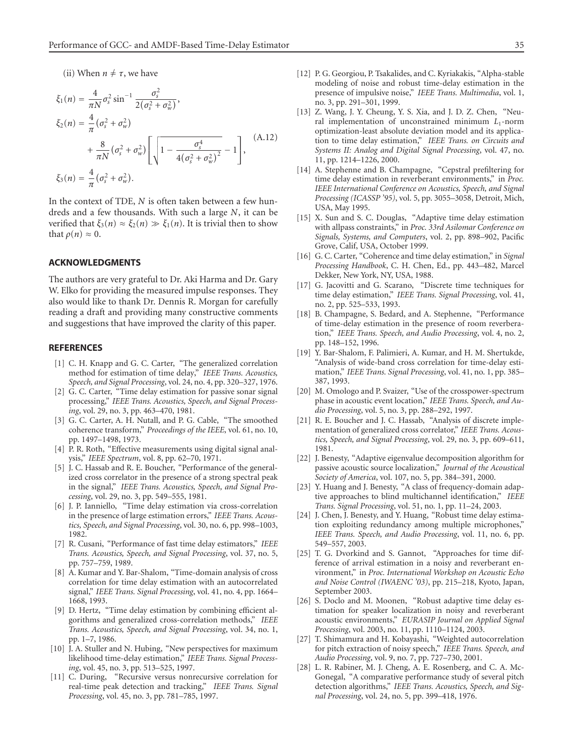(ii) When  $n \neq \tau$ , we have

$$
\xi_1(n) = \frac{4}{\pi N} \sigma_s^2 \sin^{-1} \frac{\sigma_s^2}{2(\sigma_s^2 + \sigma_w^2)},
$$
  
\n
$$
\xi_2(n) = \frac{4}{\pi} (\sigma_s^2 + \sigma_w^2) + \frac{8}{\pi N} (\sigma_s^2 + \sigma_w^2) \left[ \sqrt{1 - \frac{\sigma_s^4}{4(\sigma_s^2 + \sigma_w^2)^2}} - 1 \right],
$$
  
\n
$$
\xi_3(n) = \frac{4}{\pi} (\sigma_s^2 + \sigma_w^2).
$$
\n(A.12)

In the context of TDE, *N* is often taken between a few hundreds and a few thousands. With such a large *N*, it can be verified that  $\xi_3(n) \approx \xi_2(n) \gg \xi_1(n)$ . It is trivial then to show that  $\rho(n) \approx 0$ .

## **ACKNOWLEDGMENTS**

The authors are very grateful to Dr. Aki Harma and Dr. Gary W. Elko for providing the measured impulse responses. They also would like to thank Dr. Dennis R. Morgan for carefully reading a draft and providing many constructive comments and suggestions that have improved the clarity of this paper.

## <span id="page-10-0"></span>**REFERENCES**

- [1] C. H. Knapp and G. C. Carter, "The generalized correlation method for estimation of time delay," *IEEE Trans. Acoustics, Speech, and Signal Processing*, vol. 24, no. 4, pp. 320–327, 1976.
- <span id="page-10-1"></span>[2] G. C. Carter, "Time delay estimation for passive sonar signal processing," *IEEE Trans. Acoustics, Speech, and Signal Processing*, vol. 29, no. 3, pp. 463–470, 1981.
- <span id="page-10-2"></span>[3] G. C. Carter, A. H. Nutall, and P. G. Cable, "The smoothed coherence transform," *Proceedings of the IEEE*, vol. 61, no. 10, pp. 1497–1498, 1973.
- <span id="page-10-3"></span>[4] P. R. Roth, "Effective measurements using digital signal analysis," *IEEE Spectrum*, vol. 8, pp. 62–70, 1971.
- <span id="page-10-4"></span>[5] J. C. Hassab and R. E. Boucher, "Performance of the generalized cross correlator in the presence of a strong spectral peak in the signal," *IEEE Trans. Acoustics, Speech, and Signal Processing*, vol. 29, no. 3, pp. 549–555, 1981.
- <span id="page-10-5"></span>[6] J. P. Ianniello, "Time delay estimation via cross-correlation in the presence of large estimation errors," *IEEE Trans. Acoustics, Speech, and Signal Processing*, vol. 30, no. 6, pp. 998–1003, 1982.
- <span id="page-10-6"></span>[7] R. Cusani, "Performance of fast time delay estimators," *IEEE Trans. Acoustics, Speech, and Signal Processing*, vol. 37, no. 5, pp. 757–759, 1989.
- <span id="page-10-7"></span>[8] A. Kumar and Y. Bar-Shalom, "Time-domain analysis of cross correlation for time delay estimation with an autocorrelated signal," *IEEE Trans. Signal Processing*, vol. 41, no. 4, pp. 1664– 1668, 1993.
- <span id="page-10-8"></span>[9] D. Hertz, "Time delay estimation by combining efficient algorithms and generalized cross-correlation methods," *IEEE Trans. Acoustics, Speech, and Signal Processing*, vol. 34, no. 1, pp. 1–7, 1986.
- <span id="page-10-9"></span>[10] J. A. Stuller and N. Hubing, "New perspectives for maximum likelihood time-delay estimation," *IEEE Trans. Signal Processing*, vol. 45, no. 3, pp. 513–525, 1997.
- <span id="page-10-10"></span>[11] C. During, "Recursive versus nonrecursive correlation for real-time peak detection and tracking," *IEEE Trans. Signal Processing*, vol. 45, no. 3, pp. 781–785, 1997.
- <span id="page-10-11"></span>[12] P. G. Georgiou, P. Tsakalides, and C. Kyriakakis, "Alpha-stable modeling of noise and robust time-delay estimation in the presence of impulsive noise," *IEEE Trans. Multimedia*, vol. 1, no. 3, pp. 291–301, 1999.
- <span id="page-10-12"></span>[13] Z. Wang, J. Y. Cheung, Y. S. Xia, and J. D. Z. Chen, "Neural implementation of unconstrained minimum *L*1-norm optimization-least absolute deviation model and its application to time delay estimation," *IEEE Trans. on Circuits and Systems II: Analog and Digital Signal Processing*, vol. 47, no. 11, pp. 1214–1226, 2000.
- <span id="page-10-13"></span>[14] A. Stephenne and B. Champagne, "Cepstral prefiltering for time delay estimation in reverberant environments," in *Proc. IEEE International Conference on Acoustics, Speech, and Signal Processing (ICASSP '95)*, vol. 5, pp. 3055–3058, Detroit, Mich, USA, May 1995.
- <span id="page-10-14"></span>[15] X. Sun and S. C. Douglas, "Adaptive time delay estimation with allpass constraints," in *Proc. 33rd Asilomar Conference on Signals, Systems, and Computers*, vol. 2, pp. 898–902, Pacific Grove, Calif, USA, October 1999.
- <span id="page-10-15"></span>[16] G. C. Carter, "Coherence and time delay estimation," in *Signal Processing Handbook*, C. H. Chen, Ed., pp. 443–482, Marcel Dekker, New York, NY, USA, 1988.
- <span id="page-10-16"></span>[17] G. Jacovitti and G. Scarano, "Discrete time techniques for time delay estimation," *IEEE Trans. Signal Processing*, vol. 41, no. 2, pp. 525–533, 1993.
- <span id="page-10-17"></span>[18] B. Champagne, S. Bedard, and A. Stephenne, "Performance of time-delay estimation in the presence of room reverberation," *IEEE Trans. Speech, and Audio Processing*, vol. 4, no. 2, pp. 148–152, 1996.
- <span id="page-10-18"></span>[19] Y. Bar-Shalom, F. Palimieri, A. Kumar, and H. M. Shertukde, "Analysis of wide-band cross correlation for time-delay estimation," *IEEE Trans. Signal Processing*, vol. 41, no. 1, pp. 385– 387, 1993.
- <span id="page-10-19"></span>[20] M. Omologo and P. Svaizer, "Use of the crosspower-spectrum phase in acoustic event location," *IEEE Trans. Speech, and Audio Processing*, vol. 5, no. 3, pp. 288–292, 1997.
- <span id="page-10-20"></span>[21] R. E. Boucher and J. C. Hassab, "Analysis of discrete implementation of generalized cross correlator," *IEEE Trans. Acoustics, Speech, and Signal Processing*, vol. 29, no. 3, pp. 609–611, 1981.
- <span id="page-10-21"></span>[22] J. Benesty, "Adaptive eigenvalue decomposition algorithm for passive acoustic source localization," *Journal of the Acoustical Society of America*, vol. 107, no. 5, pp. 384–391, 2000.
- <span id="page-10-22"></span>[23] Y. Huang and J. Benesty, "A class of frequency-domain adaptive approaches to blind multichannel identification," *IEEE Trans. Signal Processing*, vol. 51, no. 1, pp. 11–24, 2003.
- <span id="page-10-23"></span>[24] J. Chen, J. Benesty, and Y. Huang, "Robust time delay estimation exploiting redundancy among multiple microphones," *IEEE Trans. Speech, and Audio Processing*, vol. 11, no. 6, pp. 549–557, 2003.
- <span id="page-10-24"></span>[25] T. G. Dvorkind and S. Gannot, "Approaches for time difference of arrival estimation in a noisy and reverberant environment," in *Proc. International Workshop on Acoustic Echo and Noise Control (IWAENC '03)*, pp. 215–218, Kyoto, Japan, September 2003.
- <span id="page-10-25"></span>[26] S. Doclo and M. Moonen, "Robust adaptive time delay estimation for speaker localization in noisy and reverberant acoustic environments," *EURASIP Journal on Applied Signal Processing*, vol. 2003, no. 11, pp. 1110–1124, 2003.
- <span id="page-10-26"></span>[27] T. Shimamura and H. Kobayashi, "Weighted autocorrelation for pitch extraction of noisy speech," *IEEE Trans. Speech, and Audio Processing*, vol. 9, no. 7, pp. 727–730, 2001.
- <span id="page-10-27"></span>[28] L. R. Rabiner, M. J. Cheng, A. E. Rosenberg, and C. A. Mc-Gonegal, "A comparative performance study of several pitch detection algorithms," *IEEE Trans. Acoustics, Speech, and Signal Processing*, vol. 24, no. 5, pp. 399–418, 1976.